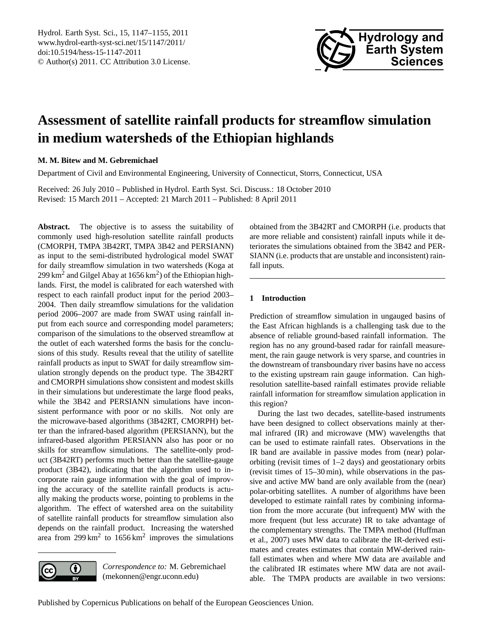

# <span id="page-0-0"></span>**Assessment of satellite rainfall products for streamflow simulation in medium watersheds of the Ethiopian highlands**

**M. M. Bitew and M. Gebremichael**

Department of Civil and Environmental Engineering, University of Connecticut, Storrs, Connecticut, USA

Received: 26 July 2010 – Published in Hydrol. Earth Syst. Sci. Discuss.: 18 October 2010 Revised: 15 March 2011 – Accepted: 21 March 2011 – Published: 8 April 2011

Abstract. The objective is to assess the suitability of commonly used high-resolution satellite rainfall products (CMORPH, TMPA 3B42RT, TMPA 3B42 and PERSIANN) as input to the semi-distributed hydrological model SWAT for daily streamflow simulation in two watersheds (Koga at 299 km<sup>2</sup> and Gilgel Abay at  $1656 \text{ km}^2$ ) of the Ethiopian highlands. First, the model is calibrated for each watershed with respect to each rainfall product input for the period 2003– 2004. Then daily streamflow simulations for the validation period 2006–2007 are made from SWAT using rainfall input from each source and corresponding model parameters; comparison of the simulations to the observed streamflow at the outlet of each watershed forms the basis for the conclusions of this study. Results reveal that the utility of satellite rainfall products as input to SWAT for daily streamflow simulation strongly depends on the product type. The 3B42RT and CMORPH simulations show consistent and modest skills in their simulations but underestimate the large flood peaks, while the 3B42 and PERSIANN simulations have inconsistent performance with poor or no skills. Not only are the microwave-based algorithms (3B42RT, CMORPH) better than the infrared-based algorithm (PERSIANN), but the infrared-based algorithm PERSIANN also has poor or no skills for streamflow simulations. The satellite-only product (3B42RT) performs much better than the satellite-gauge product (3B42), indicating that the algorithm used to incorporate rain gauge information with the goal of improving the accuracy of the satellite rainfall products is actually making the products worse, pointing to problems in the algorithm. The effect of watershed area on the suitability of satellite rainfall products for streamflow simulation also depends on the rainfall product. Increasing the watershed area from  $299 \text{ km}^2$  to  $1656 \text{ km}^2$  improves the simulations



*Correspondence to:* M. Gebremichael (mekonnen@engr.uconn.edu)

obtained from the 3B42RT and CMORPH (i.e. products that are more reliable and consistent) rainfall inputs while it deteriorates the simulations obtained from the 3B42 and PER-SIANN (i.e. products that are unstable and inconsistent) rainfall inputs.

# **1 Introduction**

Prediction of streamflow simulation in ungauged basins of the East African highlands is a challenging task due to the absence of reliable ground-based rainfall information. The region has no any ground-based radar for rainfall measurement, the rain gauge network is very sparse, and countries in the downstream of transboundary river basins have no access to the existing upstream rain gauge information. Can highresolution satellite-based rainfall estimates provide reliable rainfall information for streamflow simulation application in this region?

During the last two decades, satellite-based instruments have been designed to collect observations mainly at thermal infrared (IR) and microwave (MW) wavelengths that can be used to estimate rainfall rates. Observations in the IR band are available in passive modes from (near) polarorbiting (revisit times of 1–2 days) and geostationary orbits (revisit times of 15–30 min), while observations in the passive and active MW band are only available from the (near) polar-orbiting satellites. A number of algorithms have been developed to estimate rainfall rates by combining information from the more accurate (but infrequent) MW with the more frequent (but less accurate) IR to take advantage of the complementary strengths. The TMPA method (Huffman et al., 2007) uses MW data to calibrate the IR-derived estimates and creates estimates that contain MW-derived rainfall estimates when and where MW data are available and the calibrated IR estimates where MW data are not available. The TMPA products are available in two versions: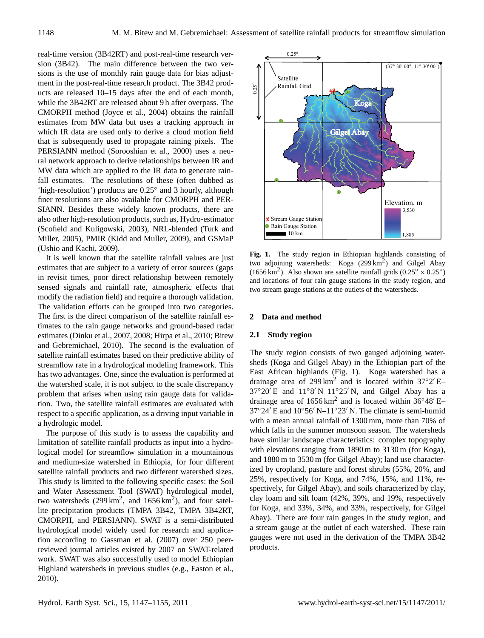real-time version (3B42RT) and post-real-time research version (3B42). The main difference between the two versions is the use of monthly rain gauge data for bias adjustment in the post-real-time research product. The 3B42 products are released 10–15 days after the end of each month, while the 3B42RT are released about 9 h after overpass. The CMORPH method (Joyce et al., 2004) obtains the rainfall estimates from MW data but uses a tracking approach in which IR data are used only to derive a cloud motion field that is subsequently used to propagate raining pixels. The PERSIANN method (Sorooshian et al., 2000) uses a neural network approach to derive relationships between IR and MW data which are applied to the IR data to generate rainfall estimates. The resolutions of these (often dubbed as 'high-resolution') products are 0.25◦ and 3 hourly, although finer resolutions are also available for CMORPH and PER-SIANN. Besides these widely known products, there are also other high-resolution products, such as, Hydro-estimator (Scofield and Kuligowski, 2003), NRL-blended (Turk and Miller, 2005), PMIR (Kidd and Muller, 2009), and GSMaP (Ushio and Kachi, 2009).

It is well known that the satellite rainfall values are just estimates that are subject to a variety of error sources (gaps in revisit times, poor direct relationship between remotely sensed signals and rainfall rate, atmospheric effects that modify the radiation field) and require a thorough validation. The validation efforts can be grouped into two categories. The first is the direct comparison of the satellite rainfall estimates to the rain gauge networks and ground-based radar estimates (Dinku et al., 2007, 2008; Hirpa et al., 2010; Bitew and Gebremichael, 2010). The second is the evaluation of satellite rainfall estimates based on their predictive ability of streamflow rate in a hydrological modeling framework. This has two advantages. One, since the evaluation is performed at the watershed scale, it is not subject to the scale discrepancy problem that arises when using rain gauge data for validation. Two, the satellite rainfall estimates are evaluated with respect to a specific application, as a driving input variable in a hydrologic model.

The purpose of this study is to assess the capability and limitation of satellite rainfall products as input into a hydrological model for streamflow simulation in a mountainous and medium-size watershed in Ethiopia, for four different satellite rainfall products and two different watershed sizes. This study is limited to the following specific cases: the Soil and Water Assessment Tool (SWAT) hydrological model, two watersheds  $(299 \text{ km}^2, \text{ and } 1656 \text{ km}^2)$ , and four satellite precipitation products (TMPA 3B42, TMPA 3B42RT, CMORPH, and PERSIANN). SWAT is a semi-distributed hydrological model widely used for research and application according to Gassman et al. (2007) over 250 peerreviewed journal articles existed by 2007 on SWAT-related work. SWAT was also successfully used to model Ethiopian Highland watersheds in previous studies (e.g., Easton et al., 2010).



**Fig. 1.** The study region in Ethiopian highlands consisting of two adjoining watersheds: Koga (299 km<sup>2</sup>) and Gilgel Abay (1656 km<sup>2</sup>). Also shown are satellite rainfall grids ( $0.25^\circ \times 0.25^\circ$ ) and locations of four rain gauge stations in the study region, and two stream gauge stations at the outlets of the watersheds.

### **2 Data and method**

#### **2.1 Study region**

The study region consists of two gauged adjoining watersheds (Koga and Gilgel Abay) in the Ethiopian part of the East African highlands (Fig. 1). Koga watershed has a drainage area of 299 km<sup>2</sup> and is located within  $37°2'$  E- $37°20'E$  and  $11°8'N-11°25'N$ , and Gilgel Abay has a drainage area of  $1656 \text{ km}^2$  and is located within  $36°48'E$  $37°24'$  E and  $10°56'$  N– $11°23'$  N. The climate is semi-humid with a mean annual rainfall of 1300 mm, more than 70% of which falls in the summer monsoon season. The watersheds have similar landscape characteristics: complex topography with elevations ranging from 1890 m to 3130 m (for Koga), and 1880 m to 3530 m (for Gilgel Abay); land use characterized by cropland, pasture and forest shrubs (55%, 20%, and 25%, respectively for Koga, and 74%, 15%, and 11%, respectively, for Gilgel Abay), and soils characterized by clay, clay loam and silt loam (42%, 39%, and 19%, respectively for Koga, and 33%, 34%, and 33%, respectively, for Gilgel Abay). There are four rain gauges in the study region, and a stream gauge at the outlet of each watershed. These rain gauges were not used in the derivation of the TMPA 3B42 products.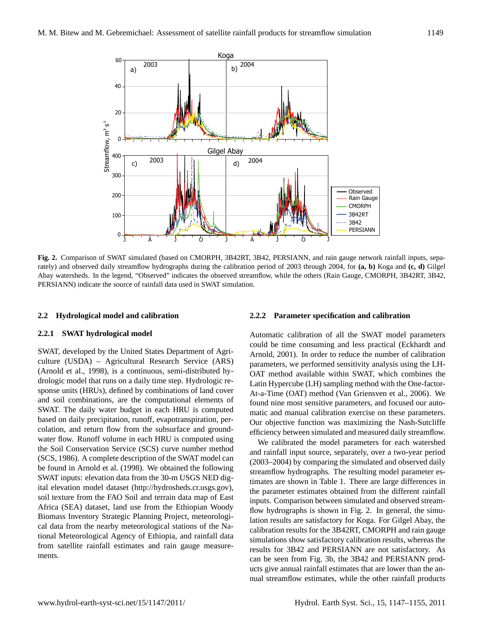

**Fig. 2.** Comparison of SWAT simulated (based on CMORPH, 3B42RT, 3B42, PERSIANN, and rain gauge network rainfall inputs, separately) and observed daily streamflow hydrographs during the calibration period of 2003 through 2004, for **(a, b)** Koga and **(c, d)** Gilgel Abay watersheds. In the legend, "Observed" indicates the observed streamflow, while the others (Rain Gauge, CMORPH, 3B42RT, 3B42, PERSIANN) indicate the source of rainfall data used in SWAT simulation.

## **2.2 Hydrological model and calibration**

## **2.2.1 SWAT hydrological model**

SWAT, developed by the United States Department of Agriculture (USDA) – Agricultural Research Service (ARS) (Arnold et al., 1998), is a continuous, semi-distributed hydrologic model that runs on a daily time step. Hydrologic response units (HRUs), defined by combinations of land cover and soil combinations, are the computational elements of SWAT. The daily water budget in each HRU is computed based on daily precipitation, runoff, evapotranspiration, percolation, and return flow from the subsurface and groundwater flow. Runoff volume in each HRU is computed using the Soil Conservation Service (SCS) curve number method (SCS, 1986). A complete description of the SWAT model can be found in Arnold et al. (1998). We obtained the following SWAT inputs: elevation data from the 30-m USGS NED digital elevation model dataset [\(http://hydrosheds.cr.usgs.gov\)](http://hydrosheds.cr.usgs.gov), soil texture from the FAO Soil and terrain data map of East Africa (SEA) dataset, land use from the Ethiopian Woody Biomass Inventory Strategic Planning Project, meteorological data from the nearby meteorological stations of the National Meteorological Agency of Ethiopia, and rainfall data from satellite rainfall estimates and rain gauge measurements.

## **2.2.2 Parameter specification and calibration**

Automatic calibration of all the SWAT model parameters could be time consuming and less practical (Eckhardt and Arnold, 2001). In order to reduce the number of calibration parameters, we performed sensitivity analysis using the LH-OAT method available within SWAT, which combines the Latin Hypercube (LH) sampling method with the One-factor-At-a-Time (OAT) method (Van Griensven et al., 2006). We found nine most sensitive parameters, and focused our automatic and manual calibration exercise on these parameters. Our objective function was maximizing the Nash-Sutcliffe efficiency between simulated and measured daily streamflow.

We calibrated the model parameters for each watershed and rainfall input source, separately, over a two-year period (2003–2004) by comparing the simulated and observed daily streamflow hydrographs. The resulting model parameter estimates are shown in Table 1. There are large differences in the parameter estimates obtained from the different rainfall inputs. Comparison between simulated and observed streamflow hydrographs is shown in Fig. 2. In general, the simulation results are satisfactory for Koga. For Gilgel Abay, the calibration results for the 3B42RT, CMORPH and rain gauge simulations show satisfactory calibration results, whereas the results for 3B42 and PERSIANN are not satisfactory. As can be seen from Fig. 3b, the 3B42 and PERSIANN products give annual rainfall estimates that are lower than the annual streamflow estimates, while the other rainfall products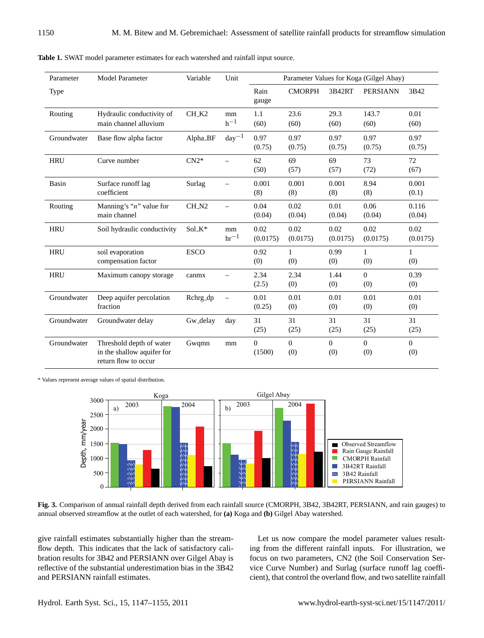| Parameter   | <b>Model Parameter</b>                                                         | Variable    | Unit                     | Parameter Values for Koga (Gilgel Abay) |                     |                       |                       |                       |
|-------------|--------------------------------------------------------------------------------|-------------|--------------------------|-----------------------------------------|---------------------|-----------------------|-----------------------|-----------------------|
| Type        |                                                                                |             |                          | Rain<br>gauge                           | <b>CMORPH</b>       | 3B42RT                | <b>PERSIANN</b>       | 3B42                  |
| Routing     | Hydraulic conductivity of<br>main channel alluvium                             | CH_K2       | mm<br>$h^{-1}$           | 1.1<br>(60)                             | 23.6<br>(60)        | 29.3<br>(60)          | 143.7<br>(60)         | 0.01<br>(60)          |
| Groundwater | Base flow alpha factor                                                         | Alpha_BF    | $day^{-1}$               | 0.97<br>(0.75)                          | 0.97<br>(0.75)      | 0.97<br>(0.75)        | 0.97<br>(0.75)        | 0.97<br>(0.75)        |
| <b>HRU</b>  | Curve number                                                                   | $CN2*$      |                          | 62<br>(50)                              | 69<br>(57)          | 69<br>(57)            | 73<br>(72)            | 72<br>(67)            |
| Basin       | Surface runoff lag<br>coefficient                                              | Surlag      | $\overline{\phantom{0}}$ | 0.001<br>(8)                            | 0.001<br>(8)        | 0.001<br>(8)          | 8.94<br>(8)           | 0.001<br>(0.1)        |
| Routing     | Manning's " $n$ " value for<br>main channel                                    | $CH_N2$     |                          | 0.04<br>(0.04)                          | 0.02<br>(0.04)      | 0.01<br>(0.04)        | 0.06<br>(0.04)        | 0.116<br>(0.04)       |
| <b>HRU</b>  | Soil hydraulic conductivity                                                    | Sol_K*      | mm<br>$hr^{-1}$          | 0.02<br>(0.0175)                        | 0.02<br>(0.0175)    | 0.02<br>(0.0175)      | 0.02<br>(0.0175)      | 0.02<br>(0.0175)      |
| <b>HRU</b>  | soil evaporation<br>compensation factor                                        | <b>ESCO</b> |                          | 0.92<br>(0)                             | $\mathbf{1}$<br>(0) | 0.99<br>(0)           | $\mathbf{1}$<br>(0)   | $\mathbf{1}$<br>(0)   |
| <b>HRU</b>  | Maximum canopy storage                                                         | canmx       |                          | 2.34<br>(2.5)                           | 2.34<br>(0)         | 1.44<br>(0)           | $\Omega$<br>(0)       | 0.39<br>(0)           |
| Groundwater | Deep aquifer percolation<br>fraction                                           | Rchrg_dp    |                          | 0.01<br>(0.25)                          | 0.01<br>(0)         | 0.01<br>(0)           | 0.01<br>(0)           | 0.01<br>(0)           |
| Groundwater | Groundwater delay                                                              | Gw_delay    | day                      | 31<br>(25)                              | 31<br>(25)          | 31<br>(25)            | 31<br>(25)            | 31<br>(25)            |
| Groundwater | Threshold depth of water<br>in the shallow aquifer for<br>return flow to occur | Gwqmn       | mm                       | $\overline{0}$<br>(1500)                | $\Omega$<br>(0)     | $\overline{0}$<br>(0) | $\overline{0}$<br>(0) | $\overline{0}$<br>(0) |

**Table 1.** SWAT model parameter estimates for each watershed and rainfall input source.

\* Values represent average values of spatial distribution.



**Fig. 3.** Comparison of annual rainfall depth derived from each rainfall source (CMORPH, 3B42, 3B42RT, PERSIANN, and rain gauges) to annual observed streamflow at the outlet of each watershed, for **(a)** Koga and **(b)** Gilgel Abay watershed.

give rainfall estimates substantially higher than the streamflow depth. This indicates that the lack of satisfactory calibration results for 3B42 and PERSIANN over Gilgel Abay is reflective of the substantial underestimation bias in the 3B42 and PERSIANN rainfall estimates.

Let us now compare the model parameter values resulting from the different rainfall inputs. For illustration, we focus on two parameters, CN2 (the Soil Conservation Service Curve Number) and Surlag (surface runoff lag coefficient), that control the overland flow, and two satellite rainfall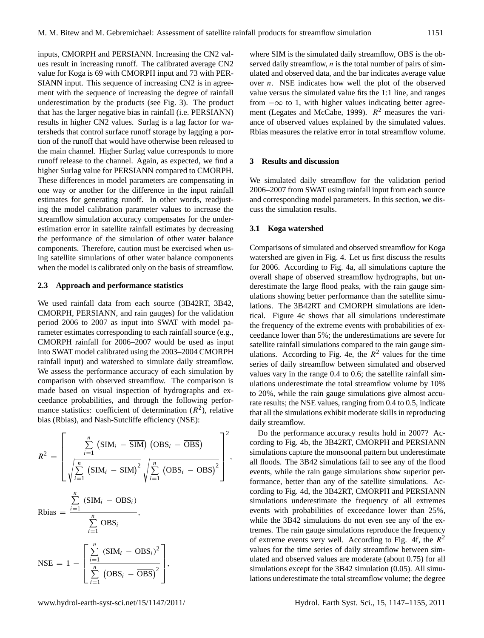inputs, CMORPH and PERSIANN. Increasing the CN2 values result in increasing runoff. The calibrated average CN2 value for Koga is 69 with CMORPH input and 73 with PER-SIANN input. This sequence of increasing CN2 is in agreement with the sequence of increasing the degree of rainfall underestimation by the products (see Fig. 3). The product that has the larger negative bias in rainfall (i.e. PERSIANN) results in higher CN2 values. Surlag is a lag factor for watersheds that control surface runoff storage by lagging a portion of the runoff that would have otherwise been released to the main channel. Higher Surlag value corresponds to more runoff release to the channel. Again, as expected, we find a higher Surlag value for PERSIANN compared to CMORPH. These differences in model parameters are compensating in one way or another for the difference in the input rainfall estimates for generating runoff. In other words, readjusting the model calibration parameter values to increase the streamflow simulation accuracy compensates for the underestimation error in satellite rainfall estimates by decreasing the performance of the simulation of other water balance components. Therefore, caution must be exercised when using satellite simulations of other water balance components when the model is calibrated only on the basis of streamflow.

#### **2.3 Approach and performance statistics**

We used rainfall data from each source (3B42RT, 3B42, CMORPH, PERSIANN, and rain gauges) for the validation period 2006 to 2007 as input into SWAT with model parameter estimates corresponding to each rainfall source (e.g., CMORPH rainfall for 2006–2007 would be used as input into SWAT model calibrated using the 2003–2004 CMORPH rainfall input) and watershed to simulate daily streamflow. We assess the performance accuracy of each simulation by comparison with observed streamflow. The comparison is made based on visual inspection of hydrographs and exceedance probabilities, and through the following performance statistics: coefficient of determination  $(R^2)$ , relative bias (Rbias), and Nash-Sutcliffe efficiency (NSE):

$$
R^{2} = \left[\frac{\sum_{i=1}^{n} (SIM_{i} - \overline{SIM}) (OBS_{i} - \overline{OBS})}{\sqrt{\sum_{i=1}^{n} (SIM_{i} - \overline{SIM})^{2}} \sqrt{\sum_{i=1}^{n} (OBS_{i} - \overline{OBS})^{2}}}\right]^{2}
$$
  
\nRbias =  $\frac{\sum_{i=1}^{n} (SIM_{i} - OBS_{i})}{\sum_{i=1}^{n} OBS_{i}}$ ,  
\nNSE =  $1 - \left[\frac{\sum_{i=1}^{n} (SIM_{i} - OBS_{i})^{2}}{\sum_{i=1}^{n} (OBS_{i} - \overline{OBS})^{2}}\right]$ ,

where SIM is the simulated daily streamflow, OBS is the observed daily streamflow,  $n$  is the total number of pairs of simulated and observed data, and the bar indicates average value over  $n$ . NSE indicates how well the plot of the observed value versus the simulated value fits the 1:1 line, and ranges from  $-\infty$  to 1, with higher values indicating better agreement (Legates and McCabe, 1999).  $R^2$  measures the variance of observed values explained by the simulated values. Rbias measures the relative error in total streamflow volume.

#### **3 Results and discussion**

We simulated daily streamflow for the validation period 2006–2007 from SWAT using rainfall input from each source and corresponding model parameters. In this section, we discuss the simulation results.

#### **3.1 Koga watershed**

,

Comparisons of simulated and observed streamflow for Koga watershed are given in Fig. 4. Let us first discuss the results for 2006. According to Fig. 4a, all simulations capture the overall shape of observed streamflow hydrographs, but underestimate the large flood peaks, with the rain gauge simulations showing better performance than the satellite simulations. The 3B42RT and CMORPH simulations are identical. Figure 4c shows that all simulations underestimate the frequency of the extreme events with probabilities of exceedance lower than 5%; the underestimations are severe for satellite rainfall simulations compared to the rain gauge simulations. According to Fig. 4e, the  $R^2$  values for the time series of daily streamflow between simulated and observed values vary in the range 0.4 to 0.6; the satellite rainfall simulations underestimate the total streamflow volume by 10% to 20%, while the rain gauge simulations give almost accurate results; the NSE values, ranging from 0.4 to 0.5, indicate that all the simulations exhibit moderate skills in reproducing daily streamflow.

Do the performance accuracy results hold in 2007? According to Fig. 4b, the 3B42RT, CMORPH and PERSIANN simulations capture the monsoonal pattern but underestimate all floods. The 3B42 simulations fail to see any of the flood events, while the rain gauge simulations show superior performance, better than any of the satellite simulations. According to Fig. 4d, the 3B42RT, CMORPH and PERSIANN simulations underestimate the frequency of all extremes events with probabilities of exceedance lower than 25%, while the 3B42 simulations do not even see any of the extremes. The rain gauge simulations reproduce the frequency of extreme events very well. According to Fig. 4f, the  $R^2$ values for the time series of daily streamflow between simulated and observed values are moderate (about 0.75) for all simulations except for the 3B42 simulation (0.05). All simulations underestimate the total streamflow volume; the degree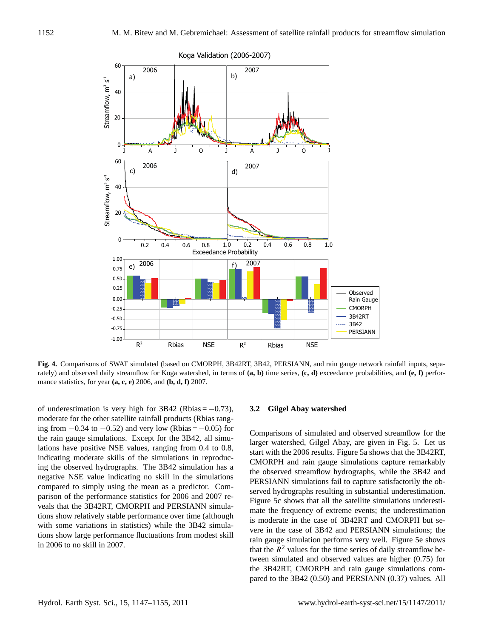

**Fig. 4.** Comparisons of SWAT simulated (based on CMORPH, 3B42RT, 3B42, PERSIANN, and rain gauge network rainfall inputs, separately) and observed daily streamflow for Koga watershed, in terms of **(a, b)** time series, **(c, d)** exceedance probabilities, and **(e, f)** performance statistics, for year **(a, c, e)** 2006, and **(b, d, f)** 2007.

of underestimation is very high for  $3B42$  (Rbias =  $-0.73$ ), moderate for the other satellite rainfall products (Rbias ranging from  $-0.34$  to  $-0.52$ ) and very low (Rbias =  $-0.05$ ) for the rain gauge simulations. Except for the 3B42, all simulations have positive NSE values, ranging from 0.4 to 0.8, indicating moderate skills of the simulations in reproducing the observed hydrographs. The 3B42 simulation has a negative NSE value indicating no skill in the simulations compared to simply using the mean as a predictor. Comparison of the performance statistics for 2006 and 2007 reveals that the 3B42RT, CMORPH and PERSIANN simulations show relatively stable performance over time (although with some variations in statistics) while the 3B42 simulations show large performance fluctuations from modest skill in 2006 to no skill in 2007.

## **3.2 Gilgel Abay watershed**

Comparisons of simulated and observed streamflow for the larger watershed, Gilgel Abay, are given in Fig. 5. Let us start with the 2006 results. Figure 5a shows that the 3B42RT, CMORPH and rain gauge simulations capture remarkably the observed streamflow hydrographs, while the 3B42 and PERSIANN simulations fail to capture satisfactorily the observed hydrographs resulting in substantial underestimation. Figure 5c shows that all the satellite simulations underestimate the frequency of extreme events; the underestimation is moderate in the case of 3B42RT and CMORPH but severe in the case of 3B42 and PERSIANN simulations; the rain gauge simulation performs very well. Figure 5e shows that the  $R^2$  values for the time series of daily streamflow between simulated and observed values are higher (0.75) for the 3B42RT, CMORPH and rain gauge simulations compared to the 3B42 (0.50) and PERSIANN (0.37) values. All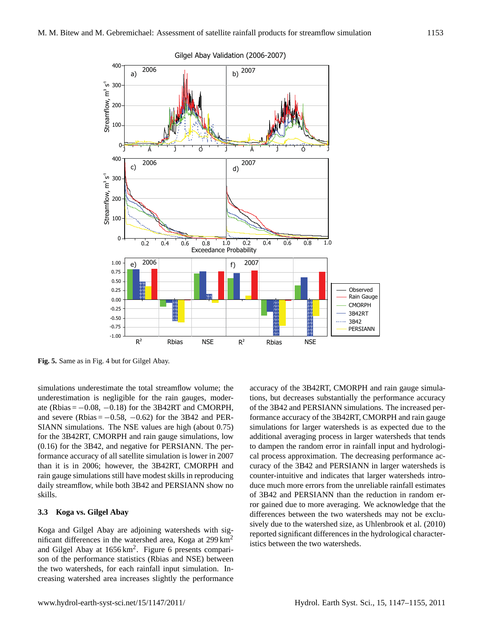

Gilgel Abay Validation (2006-2007)

**Fig. 5.** Same as in Fig. 4 but for Gilgel Abay.

simulations underestimate the total streamflow volume; the underestimation is negligible for the rain gauges, moderate (Rbias =  $-0.08$ ,  $-0.18$ ) for the 3B42RT and CMORPH, and severe (Rbias =  $-0.58$ ,  $-0.62$ ) for the 3B42 and PER-SIANN simulations. The NSE values are high (about 0.75) for the 3B42RT, CMORPH and rain gauge simulations, low (0.16) for the 3B42, and negative for PERSIANN. The performance accuracy of all satellite simulation is lower in 2007 than it is in 2006; however, the 3B42RT, CMORPH and rain gauge simulations still have modest skills in reproducing daily streamflow, while both 3B42 and PERSIANN show no skills.

## **3.3 Koga vs. Gilgel Abay**

Koga and Gilgel Abay are adjoining watersheds with significant differences in the watershed area, Koga at 299 km<sup>2</sup> and Gilgel Abay at 1656 km<sup>2</sup>. Figure 6 presents comparison of the performance statistics (Rbias and NSE) between the two watersheds, for each rainfall input simulation. Increasing watershed area increases slightly the performance

accuracy of the 3B42RT, CMORPH and rain gauge simulations, but decreases substantially the performance accuracy of the 3B42 and PERSIANN simulations. The increased performance accuracy of the 3B42RT, CMORPH and rain gauge simulations for larger watersheds is as expected due to the additional averaging process in larger watersheds that tends to dampen the random error in rainfall input and hydrological process approximation. The decreasing performance accuracy of the 3B42 and PERSIANN in larger watersheds is counter-intuitive and indicates that larger watersheds introduce much more errors from the unreliable rainfall estimates of 3B42 and PERSIANN than the reduction in random error gained due to more averaging. We acknowledge that the differences between the two watersheds may not be exclusively due to the watershed size, as Uhlenbrook et al. (2010) reported significant differences in the hydrological characteristics between the two watersheds.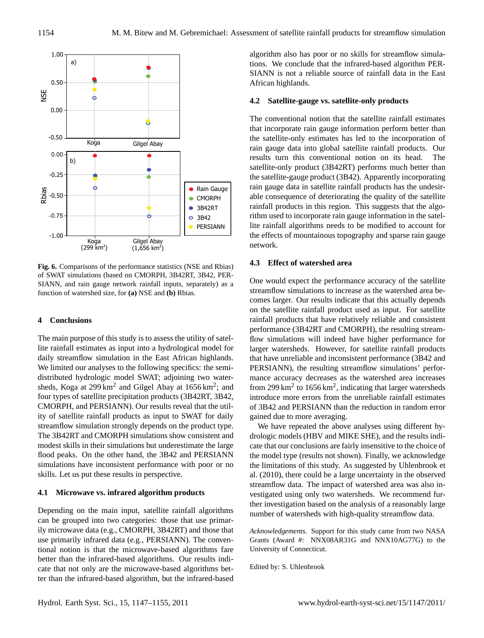

**Fig. 6.** Comparisons of the performance statistics (NSE and Rbias) of SWAT simulations (based on CMORPH, 3B42RT, 3B42, PER-SIANN, and rain gauge network rainfall inputs, separately) as a function of watershed size, for **(a)** NSE and **(b)** Rbias.

# **4 Conclusions**

The main purpose of this study is to assess the utility of satellite rainfall estimates as input into a hydrological model for daily streamflow simulation in the East African highlands. We limited our analyses to the following specifics: the semidistributed hydrologic model SWAT; adjoining two watersheds, Koga at 299 km<sup>2</sup> and Gilgel Abay at  $1656 \text{ km}^2$ ; and four types of satellite precipitation products (3B42RT, 3B42, CMORPH, and PERSIANN). Our results reveal that the utility of satellite rainfall products as input to SWAT for daily streamflow simulation strongly depends on the product type. The 3B42RT and CMORPH simulations show consistent and modest skills in their simulations but underestimate the large flood peaks. On the other hand, the 3B42 and PERSIANN simulations have inconsistent performance with poor or no skills. Let us put these results in perspective.

## **4.1 Microwave vs. infrared algorithm products**

Depending on the main input, satellite rainfall algorithms can be grouped into two categories: those that use primarily microwave data (e.g., CMORPH, 3B42RT) and those that use primarily infrared data (e.g., PERSIANN). The conventional notion is that the microwave-based algorithms fare better than the infrared-based algorithms. Our results indicate that not only are the microwave-based algorithms better than the infrared-based algorithm, but the infrared-based algorithm also has poor or no skills for streamflow simulations. We conclude that the infrared-based algorithm PER-SIANN is not a reliable source of rainfall data in the East African highlands.

## **4.2 Satellite-gauge vs. satellite-only products**

The conventional notion that the satellite rainfall estimates that incorporate rain gauge information perform better than the satellite-only estimates has led to the incorporation of rain gauge data into global satellite rainfall products. Our results turn this conventional notion on its head. The satellite-only product (3B42RT) performs much better than the satellite-gauge product (3B42). Apparently incorporating rain gauge data in satellite rainfall products has the undesirable consequence of deteriorating the quality of the satellite rainfall products in this region. This suggests that the algorithm used to incorporate rain gauge information in the satellite rainfall algorithms needs to be modified to account for the effects of mountainous topography and sparse rain gauge network.

## **4.3 Effect of watershed area**

One would expect the performance accuracy of the satellite streamflow simulations to increase as the watershed area becomes larger. Our results indicate that this actually depends on the satellite rainfall product used as input. For satellite rainfall products that have relatively reliable and consistent performance (3B42RT and CMORPH), the resulting streamflow simulations will indeed have higher performance for larger watersheds. However, for satellite rainfall products that have unreliable and inconsistent performance (3B42 and PERSIANN), the resulting streamflow simulations' performance accuracy decreases as the watershed area increases from 299  $\text{km}^2$  to 1656  $\text{km}^2$ , indicating that larger watersheds introduce more errors from the unreliable rainfall estimates of 3B42 and PERSIANN than the reduction in random error gained due to more averaging.

We have repeated the above analyses using different hydrologic models (HBV and MIKE SHE), and the results indicate that our conclusions are fairly insensitive to the choice of the model type (results not shown). Finally, we acknowledge the limitations of this study. As suggested by Uhlenbrook et al. (2010), there could be a large uncertainty in the observed streamflow data. The impact of watershed area was also investigated using only two watersheds. We recommend further investigation based on the analysis of a reasonably large number of watersheds with high-quality streamflow data.

*Acknowledgements.* Support for this study came from two NASA Grants (Award #: NNX08AR31G and NNX10AG77G) to the University of Connecticut.

Edited by: S. Uhlenbrook